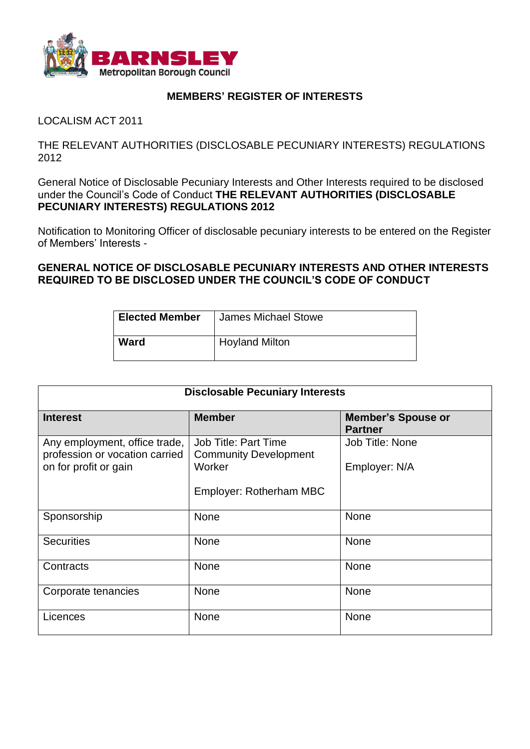

## **MEMBERS' REGISTER OF INTERESTS**

LOCALISM ACT 2011

THE RELEVANT AUTHORITIES (DISCLOSABLE PECUNIARY INTERESTS) REGULATIONS 2012

General Notice of Disclosable Pecuniary Interests and Other Interests required to be disclosed under the Council's Code of Conduct **THE RELEVANT AUTHORITIES (DISCLOSABLE PECUNIARY INTERESTS) REGULATIONS 2012**

Notification to Monitoring Officer of disclosable pecuniary interests to be entered on the Register of Members' Interests -

**GENERAL NOTICE OF DISCLOSABLE PECUNIARY INTERESTS AND OTHER INTERESTS REQUIRED TO BE DISCLOSED UNDER THE COUNCIL'S CODE OF CONDUCT**

| <b>Elected Member</b> | James Michael Stowe   |
|-----------------------|-----------------------|
| Ward                  | <b>Hoyland Milton</b> |

| <b>Disclosable Pecuniary Interests</b>                          |                                                             |                                             |  |
|-----------------------------------------------------------------|-------------------------------------------------------------|---------------------------------------------|--|
| <b>Interest</b>                                                 | <b>Member</b>                                               | <b>Member's Spouse or</b><br><b>Partner</b> |  |
| Any employment, office trade,<br>profession or vocation carried | <b>Job Title: Part Time</b><br><b>Community Development</b> | Job Title: None                             |  |
| on for profit or gain                                           | Worker                                                      | Employer: N/A                               |  |
|                                                                 | Employer: Rotherham MBC                                     |                                             |  |
| Sponsorship                                                     | <b>None</b>                                                 | None                                        |  |
| <b>Securities</b>                                               | None                                                        | None                                        |  |
| Contracts                                                       | <b>None</b>                                                 | None                                        |  |
| Corporate tenancies                                             | None                                                        | None                                        |  |
| Licences                                                        | None                                                        | None                                        |  |